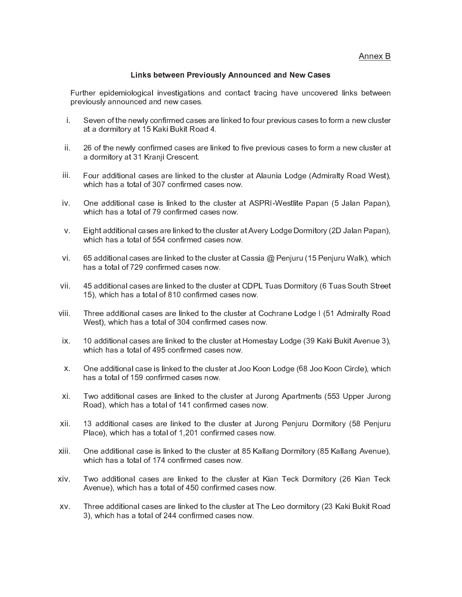Annex B

## **Links between Previously Announced and New Cases**

Further epidemiological investigations and contact tracing have uncovered links between previously announced and new cases.

- i. Seven of the newly confirmed cases are linked to four previous cases to form a new cluster at a dormitory at 15 Kaki Bukit Road 4.
- ii. 26 of the newly confirmed cases are linked to five previous cases to form a new cluster at a dormitory at 31 Kranji Crescent.
- Four additional cases are linked to the cluster at Alaunia Lodge (Admiralty Road West), iii. which has a total of 307 confirmed cases now.
- iv. One additional case is linked to the cluster at ASPRI-Westlite Papan (5 Jalan Papan), which has a total of 79 confirmed cases now.
- $V_{\cdot}$ Eight additional cases are linked to the cluster at Avery Lodge Dormitory (2D Jalan Papan), which has a total of 554 confirmed cases now.
- vi. 65 additional cases are linked to the cluster at Cassia @ Penjuru (15 Penjuru Walk), which has a total of 729 confirmed cases now.
- vii. 45 additional cases are linked to the cluster at CDPL Tuas Dormitory (6 Tuas South Street 15). which has a total of 810 confirmed cases now.
- viii. Three additional cases are linked to the cluster at Cochrane Lodge I (51 Admiralty Road West), which has a total of 304 confirmed cases now.
- 10 additional cases are linked to the cluster at Homestay Lodge (39 Kaki Bukit Avenue 3), ix. which has a total of 495 confirmed cases now.
- One additional case is linked to the cluster at Joo Koon Lodge (68 Joo Koon Circle), which  $\mathsf{X}^$ has a total of 159 confirmed cases now.
- xi. Two additional cases are linked to the cluster at Jurong Apartments (553 Upper Jurong Road), which has a total of 141 confirmed cases now.
- xii. 13 additional cases are linked to the cluster at Jurong Penjuru Dormitory (58 Penjuru Place), which has a total of 1,201 confirmed cases now.
- xiii. One additional case is linked to the cluster at 85 Kallang Dormitory (85 Kallang Avenue), which has a total of 174 confirmed cases now.
- xiv. Two additional cases are linked to the cluster at Kian Teck Dormitory (26 Kian Teck Avenue), which has a total of 450 confirmed cases now.
- XV. Three additional cases are linked to the cluster at The Leo dormitory (23 Kaki Bukit Road 3), which has a total of 244 confirmed cases now.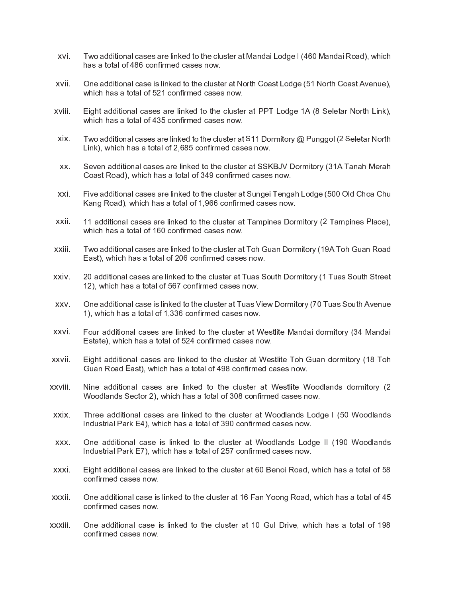- xvi. Two additional cases are linked to the cluster at Mandai Lodge I (460 Mandai Road), which has a total of 486 confirmed cases now.
- One additional case is linked to the cluster at North Coast Lodge (51 North Coast Avenue). xvii. which has a total of 521 confirmed cases now.
- xviii. Eight additional cases are linked to the cluster at PPT Lodge 1A (8 Seletar North Link), which has a total of 435 confirmed cases now.
- xix. Two additional cases are linked to the cluster at S11 Dormitory  $@$  Punggol (2 Seletar North Link), which has a total of 2,685 confirmed cases now.
- Seven additional cases are linked to the cluster at SSKBJV Dormitory (31A Tanah Merah XX. Coast Road), which has a total of 349 confirmed cases now.
- Five additional cases are linked to the cluster at Sungei Tengah Lodge (500 Old Choa Chu xxi Kang Road), which has a total of 1,966 confirmed cases now.
- xxii. 11 additional cases are linked to the cluster at Tampines Dormitory (2 Tampines Place), which has a total of 160 confirmed cases now.
- xxiii. Two additional cases are linked to the cluster at Toh Guan Dormitory (19A Toh Guan Road East), which has a total of 206 confirmed cases now.
- xxiv 20 additional cases are linked to the cluster at Tuas South Dormitory (1 Tuas South Street 12), which has a total of 567 confirmed cases now.
- One additional case is linked to the cluster at Tuas View Dormitory (70 Tuas South Avenue XXV. 1), which has a total of 1,336 confirmed cases now.
- Four additional cases are linked to the cluster at Westlite Mandai dormitory (34 Mandai xxvi. Estate), which has a total of 524 confirmed cases now.
- xxvii. Eight additional cases are linked to the cluster at Westlite Toh Guan dormitory (18 Toh Guan Road East), which has a total of 498 confirmed cases now.
- xxviii. Nine additional cases are linked to the cluster at Westlite Woodlands dormitory (2) Woodlands Sector 2), which has a total of 308 confirmed cases now.
- Three additional cases are linked to the cluster at Woodlands Lodge I (50 Woodlands xxix. Industrial Park E4), which has a total of 390 confirmed cases now.
- XXX. One additional case is linked to the cluster at Woodlands Lodge II (190 Woodlands Industrial Park E7), which has a total of 257 confirmed cases now.
- xxxi. Eight additional cases are linked to the cluster at 60 Benoi Road, which has a total of 58 confirmed cases now.
- xxxii. One additional case is linked to the cluster at 16 Fan Yoong Road, which has a total of 45 confirmed cases now.
- xxxiii. One additional case is linked to the cluster at 10 Gul Drive, which has a total of 198 confirmed cases now.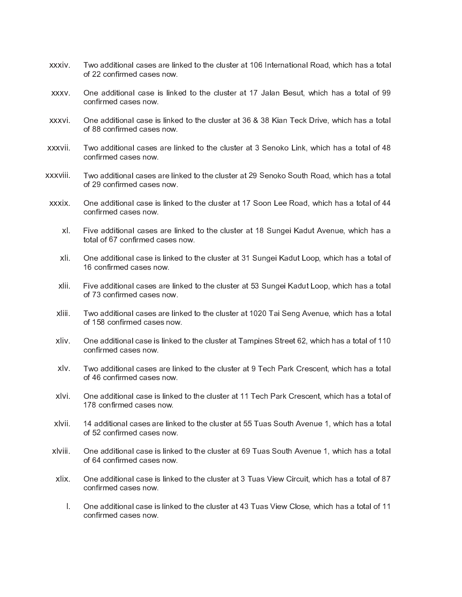- xxxiv Two additional cases are linked to the cluster at 106 International Road, which has a total of 22 confirmed cases now.
- One additional case is linked to the cluster at 17 Jalan Besut, which has a total of 99 XXXV. confirmed cases now.
- One additional case is linked to the cluster at 36 & 38 Kian Teck Drive, which has a total xxxvi. of 88 confirmed cases now.
- xxxvii. Two additional cases are linked to the cluster at 3 Senoko Link, which has a total of 48 confirmed cases now.
- xxxviii. Two additional cases are linked to the cluster at 29 Senoko South Road, which has a total of 29 confirmed cases now.
- xxxix One additional case is linked to the cluster at 17 Soon Lee Road, which has a total of 44 confirmed cases now.
	- xl. Five additional cases are linked to the cluster at 18 Sungei Kadut Avenue, which has a total of 67 confirmed cases now.
	- xli. One additional case is linked to the cluster at 31 Sungei Kadut Loop, which has a total of 16 confirmed cases now.
	- xlii. Five additional cases are linked to the cluster at 53 Sungei Kadut Loop, which has a total of 73 confirmed cases now.
	- xliii. Two additional cases are linked to the cluster at 1020 Tai Seng Avenue, which has a total of 158 confirmed cases now.
	- xliv. One additional case is linked to the cluster at Tampines Street 62, which has a total of 110 confirmed cases now.
	- xlv. Two additional cases are linked to the cluster at 9 Tech Park Crescent, which has a total of 46 confirmed cases now.
	- xlvi. One additional case is linked to the cluster at 11 Tech Park Crescent, which has a total of 178 confirmed cases now.
	- xlvii. 14 additional cases are linked to the cluster at 55 Tuas South Avenue 1, which has a total of 52 confirmed cases now.
- xlviii. One additional case is linked to the cluster at 69 Tuas South Avenue 1, which has a total of 64 confirmed cases now.
- xlix. One additional case is linked to the cluster at 3 Tuas View Circuit, which has a total of 87 confirmed cases now.
	- T. One additional case is linked to the cluster at 43 Tuas View Close, which has a total of 11 confirmed cases now.